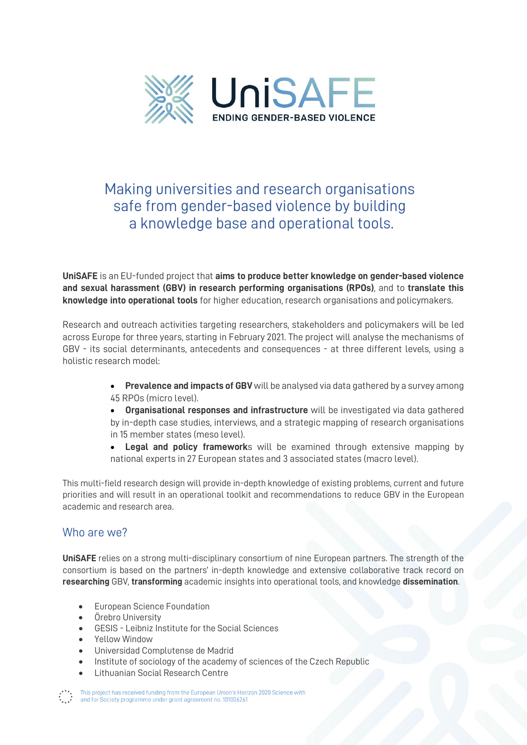

# Making universities and research organisations safe from gender-based violence by building a knowledge base and operational tools.

**UniSAFE** is an EU-funded project that **aims to produce better knowledge on gender-based violence and sexual harassment (GBV) in research performing organisations (RPOs)**, and to **translate this knowledge into operational tools** for higher education, research organisations and policymakers.

Research and outreach activities targeting researchers, stakeholders and policymakers will be led across Europe for three years, starting in February 2021. The project will analyse the mechanisms of GBV - its social determinants, antecedents and consequences - at three different levels, using a holistic research model:

- **Prevalence and impacts of GBV** will be analysed via data gathered by a survey among 45 RPOs (micro level).
- **Organisational responses and infrastructure** will be investigated via data gathered by in-depth case studies, interviews, and a strategic mapping of research organisations in 15 member states (meso level).
- **Legal and policy framework**s will be examined through extensive mapping by national experts in 27 European states and 3 associated states (macro level).

This multi-field research design will provide in-depth knowledge of existing problems, current and future priorities and will result in an operational toolkit and recommendations to reduce GBV in the European academic and research area.

## Who are we?

**UniSAFE** relies on a strong multi-disciplinary consortium of nine European partners. The strength of the consortium is based on the partners' in-depth knowledge and extensive collaborative track record on **researching** GBV, **transforming** academic insights into operational tools, and knowledge **dissemination**.

- European Science Foundation
- Örebro University
- GESIS Leibniz Institute for the Social Sciences
- Yellow Window
- Universidad Complutense de Madrid
- Institute of sociology of the academy of sciences of the Czech Republic
- Lithuanian Social Research Centre

This project has received funding from the European Union's Horizon 2020 Science with and for Society programme under grant agreement no. 101006261